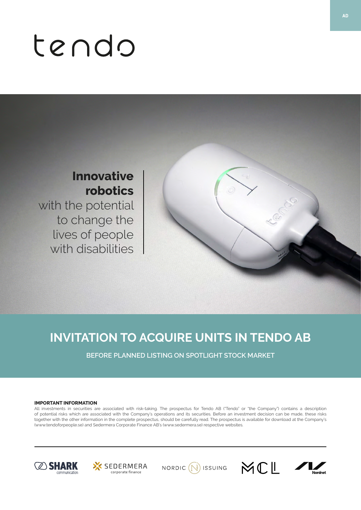# tendo

# **Innovative robotics**

with the potential to change the lives of people with disabilities

# **INVITATION TO ACQUIRE UNITS IN TENDO AB**

**BEFORE PLANNED LISTING ON SPOTLIGHT STOCK MARKET**

# **IMPORTANT INFORMATION**

All investments in securities are associated with risk-taking. The prospectus for Tendo AB ("Tendo" or "the Company") contains a description of potential risks which are associated with the Company's operations and its securities. Before an investment decision can be made, these risks together with the other information in the complete prospectus, should be carefully read. The prospectus is available for download at the Company's (www.tendoforpeople.se) and Sedermera Corporate Finance AB's (www.sedermera.se) respective websites.









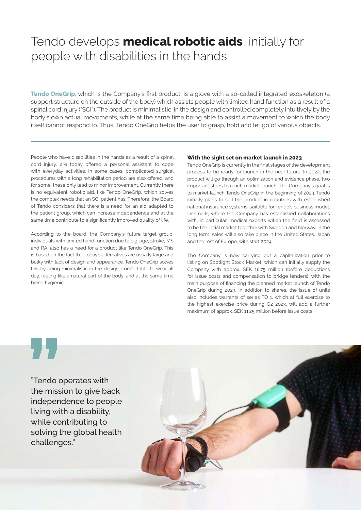# Tendo develops **medical robotic aids**, initially for people with disabilities in the hands.

**Tendo OneGrip**, which is the Company's first product, is a glove with a so-called integrated exoskeleton (a support structure on the outside of the body) which assists people with limited hand function as a result of a spinal cord injury ("SCI"). The product is minimalistic in the design and controlled completely intuitively by the body's own actual movements, while at the same time being able to assist a movement to which the body itself cannot respond to. Thus, Tendo OneGrip helps the user to grasp, hold and let go of various objects.

People who have disabilities in the hands as a result of a spinal cord injury, are today offered a personal assistant to cope with everyday activities. In some cases, complicated surgical procedures with a long rehabilitation period are also offered, and for some, these only lead to minor improvement. Currently there is no equivalent robotic aid, like Tendo OneGrip, which solves the complex needs that an SCI patient has. Therefore, the Board of Tendo considers that there is a need for an aid adapted to the patient group, which can increase independence and at the same time contribute to a significantly improved quality of life.

According to the board, the Company's future target group, individuals with limited hand function due to e.g. age, stroke, MS and RA, also has a need for a product like Tendo OneGrip. This is based on the fact that today's alternatives are usually large and bulky with lack of design and appearance. Tendo OneGrip solves this by being minimalistic in the design, comfortable to wear all day, feeling like a natural part of the body, and at the same time being hygienic.

# **With the sight set on market launch in 2023**

Tendo OneGrip is currently in the final stages of the development process to be ready for launch in the near future. In 2022, the product will go through an optimization and evidence phase, two important steps to reach market launch. The Company's goal is to market launch Tendo OneGrip in the beginning of 2023. Tendo initially plans to sell the product in countries with established national insurance systems, suitable for Tendo's business model. Denmark, where the Company has established collaborations with, in particular, medical experts within the field is assessed to be the initial market together with Sweden and Norway. In the long term, sales will also take place in the United States, Japan and the rest of Europe, with start 2024.

The Company is now carrying out a capitalization prior to listing on Spotlight Stock Market, which can initially supply the Company with approx. SEK 18.75 million (before deductions for issue costs and compensation to bridge lenders), with the main purpose of financing the planned market launch of Tendo OneGrip during 2023. In addition to shares, the issue of units also includes warrants of series TO 1, which at full exercise to the highest exercise price during Q2 2023, will add a further maximum of approx. SEK 11.25 million before issue costs.

"Tendo operates with the mission to give back independence to people living with a disability, while contributing to solving the global health challenges."

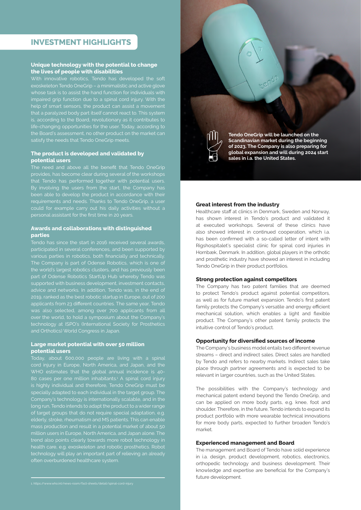# **INVESTMENT HIGHLIGHTS**

# **Unique technology with the potential to change the lives of people with disabilities**

# **The product is developed and validated by potential users**

that Tendo has performed together with potential users.

# **Awards and collaborations with distinguished parties**

Tendo has since the start in 2016 received several awards, participated in several conferences, and been supported by the world's largest robotics clusters, and has previously been part of Odense Robotics StartUp Hub whereby Tendo was advice and networks. In addition, Tendo was, in the end of applicants from 23 different countries. The same year, Tendo was also selected, among over 700 applicants from all technology at ISPO's (International Society for Prosthetics and Orthotics) World Congress in Japan.

# **Large market potential with over 50 million potential users**

WHO estimates that the global annual incidence is 40 is highly individual and therefore, Tendo OneGrip must be specially adapted to each individual in the target group. The Company's technology is internationally scalable, and in the of target groups that do not require special adaptation, e.g. trend also points clearly towards more robot technology in technology will play an important part of relieving an already



**Tendo OneGrip will be launched on the Scandinavian market during the beginning of 2023. The Company is also preparing for global expansion and will during 2024 start sales in i.a. the United States.**

# **Great interest from the industry**

Healthcare staff at clinics in Denmark, Sweden and Norway, has shown interest in Tendo's product and validated it at executed workshops. Several of these clinics have also showed interest in continued cooperation, which i.a. has been confirmed with a so-called letter of intent with Rigshospitalet's specialist clinic for spinal cord injuries in Hornbæk, Denmark. In addition, global players in the orthotic and prosthetic industry have showed an interest in including Tendo OneGrip in their product portfolios.

### **Strong protection against competitors**

The Company has two patent families that are deemed to protect Tendo's product against potential competitors, as well as for future market expansion. Tendo's first patent family protects the Company's versatile and energy efficient mechanical solution, which enables a light and flexible product. The Company's other patent family protects the intuitive control of Tendo's product.

# **Opportunity for diversified sources of income**

The Company's business model entails two different revenue streams – direct and indirect sales. Direct sales are handled by Tendo and refers to nearby markets. Indirect sales take place through partner agreements and is expected to be relevant in larger countries, such as the United States.

The possibilities with the Company's technology and mechanical patent extend beyond the Tendo OneGrip, and can be applied on more body parts, e.g. knee, foot and shoulder. Therefore, in the future, Tendo intends to expand its product portfolio with more wearable technical innovations for more body parts, expected to further broaden Tendo's market.

### **Experienced management and Board**

The management and Board of Tendo have solid experience in i.a. design, product development, robotics, electronics, orthopedic technology and business development. Their knowledge and expertise are beneficial for the Company's future development.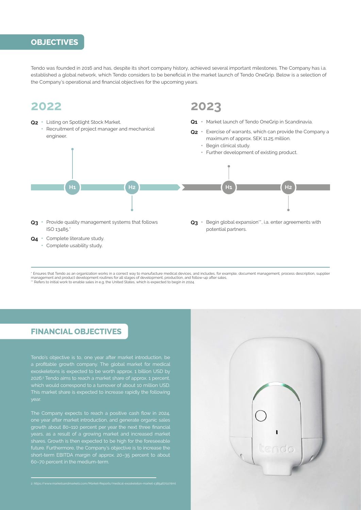# **OBJECTIVES**

Tendo was founded in 2016 and has, despite its short company history, achieved several important milestones. The Company has i.a. established a global network, which Tendo considers to be beneficial in the market launch of Tendo OneGrip. Below is a selection of the Company's operational and financial objectives for the upcoming years.

# **2022 2023**

- **Q2** Listing on Spotlight Stock Market. Recruitment of project manager and mechanical engineer. **Q3** • Provide quality management systems that follows ISO 13485.\* **Q1** • Market launch of Tendo OneGrip in Scandinavia. **Q2** • Exercise of warrants, which can provide the Company a maximum of approx. SEK 11.25 million. • Begin clinical study. • Further development of existing product. **Q3** • Begin global expansion\*\*, i.a. enter agreements with potential partners. **H1 H2 H1 H2**
- **Q4** Complete literature study.
	- Complete usability study.

\* Ensures that Tendo as an organization works in a correct way to manufacture medical devices, and includes, for example, document management, process description, supplier management and product development routines for all stages of development, production, and follow-up after sales.<br>\*\* Refers to initial work to enable sales in e.g. the United States, which is expected to begin in 2024.

# **FINANCIAL OBJECTIVES**

2026.2 Tendo aims to reach a market share of approx. 1 percent,

The Company expects to reach a positive cash flow in 2024, one year after market introduction, and generate organic sales growth about 80–110 percent per year the next three financial shares. Growth is then expected to be high for the foreseeable future. Furthermore, the Company's objective is to increase the short-term EBITDA margin of approx. 20–35 percent to about

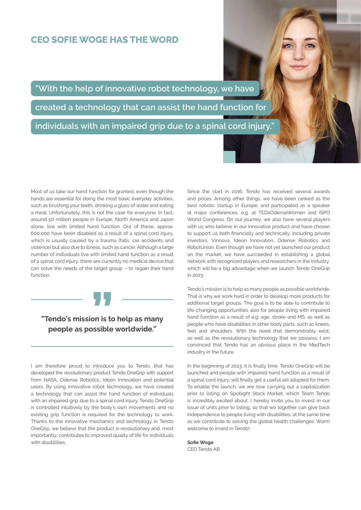# **CEO SOFIE WOGE HAS THE WORD**

**"With the help of innovative robot technology, we have** 

**created a technology that can assist the hand function for** 

**individuals with an impaired grip due to a spinal cord injury."**

Most of us take our hand function for granted, even though the hands are essential for doing the most basic everyday activities, such as brushing your teeth, drinking a glass of water and eating a meal. Unfortunately, this is not the case for everyone. In fact, around 50 million people in Europe, North America and Japan alone, live with limited hand function. Out of these, approx. 600,000 have been disabled as a result of a spinal cord injury, which is usually caused by a trauma (falls, car accidents and violence) but also due to illness, such as cancer. Although a large number of individuals live with limited hand function as a result of a spinal cord injury, there are currently no medical device that can solve the needs of the target group – to regain their hand function.



# **"Tendo's mission is to help as many people as possible worldwide."**

I am therefore proud to introduce you to Tendo, that has developed the revolutionary product Tendo OneGrip with support from NASA, Odense Robotics, Ideon Innovation and potential users. By using innovative robot technology, we have created a technology that can assist the hand function of individuals with an impaired grip due to a spinal cord injury. Tendo OneGrip is controlled intuitively by the body's own movements and no existing grip function is required for the technology to work. Thanks to the innovative mechanics and technology in Tendo OneGrip, we believe that the product is revolutionary and, most importantly, contributes to improved quality of life for individuals with disabilities

Since the start in 2016, Tendo has received several awards and prices. Among other things, we have been ranked as the best robotic startup in Europe, and participated as a speaker at major conferences, e.g. at TEDxOdenseWomen and ISPO World Congress. On our journey, we also have several players with us who believe in our innovative product and have chosen to support us both financially and technically, including private investors, Vinnova, Ideon Innovation, Odense Robotics and RobotUnion. Even though we have not yet launched our product on the market, we have succeeded in establishing a global network with recognized players and researchers in the industry, which will be a big advantage when we launch Tendo OneGrip in 2023.

Tendo's mission is to help as many people as possible worldwide. That is why we work hard in order to develop more products for additional target groups. The goal is to be able to contribute to life-changing opportunities also for people living with impaired hand function as a result of e.g. age, stroke and MS, as well as people who have disabilities in other body parts, such as knees, feet and shoulders. With the need that demonstrably exist, as well as the revolutionary technology that we possess, I am convinced that Tendo has an obvious place in the MedTech industry in the future.

In the beginning of 2023, it is finally time. Tendo OneGrip will be launched and people with impaired hand function as a result of a spinal cord injury, will finally get a useful aid adapted for them. To enable the launch, we are now carrying out a capitalization prior to listing on Spotlight Stock Market, which Team Tendo is incredibly excited about. I hereby invite you to invest in our issue of units prior to listing, so that we together can give back independence to people living with disabilities, at the same time as we contribute to solving the global health challenges. Warm welcome to invest in Tendo!

**Sofie Woge** CEO Tendo AB